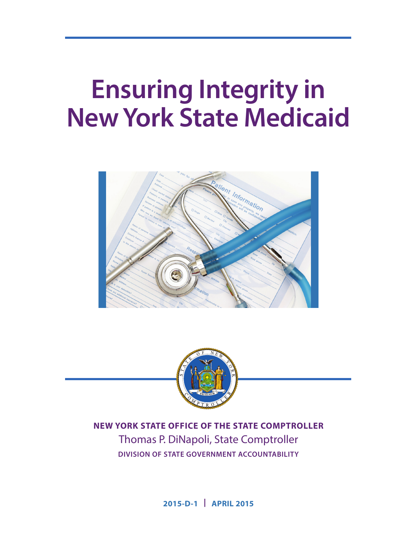# **Ensuring Integrity in New York State Medicaid**





**NEW YORK STATE OFFICE OF THE STATE COMPTROLLER** Thomas P. DiNapoli, State Comptroller **DIVISION OF STATE GOVERNMENT ACCOUNTABILITY**

**2015-D-1 | APRIL 2015**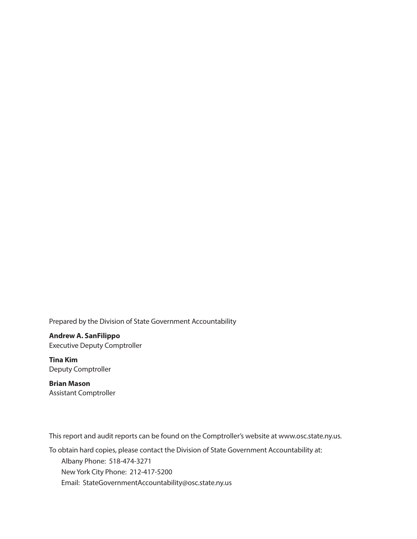Prepared by the Division of State Government Accountability

**Andrew A. SanFilippo** Executive Deputy Comptroller

**Tina Kim** Deputy Comptroller

**Brian Mason**  Assistant Comptroller

This report and audit reports can be found on the Comptroller's website at www.osc.state.ny.us.

To obtain hard copies, please contact the Division of State Government Accountability at: Albany Phone: 518-474-3271 New York City Phone: 212-417-5200 Email: StateGovernmentAccountability@osc.state.ny.us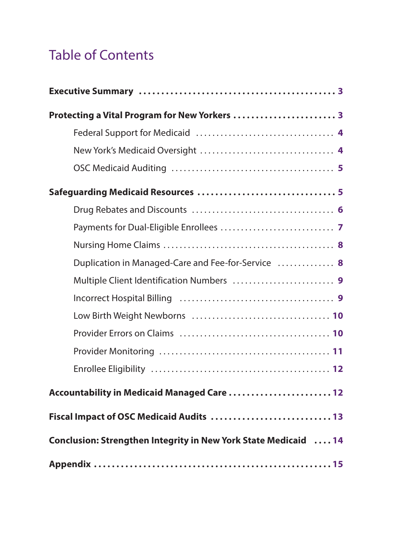# Table of Contents

| Protecting a Vital Program for New Yorkers  3                   |
|-----------------------------------------------------------------|
|                                                                 |
|                                                                 |
|                                                                 |
|                                                                 |
|                                                                 |
|                                                                 |
|                                                                 |
| Duplication in Managed-Care and Fee-for-Service  8              |
|                                                                 |
|                                                                 |
|                                                                 |
|                                                                 |
|                                                                 |
|                                                                 |
| Accountability in Medicaid Managed Care  12                     |
| Fiscal Impact of OSC Medicaid Audits  13                        |
| Conclusion: Strengthen Integrity in New York State Medicaid  14 |
|                                                                 |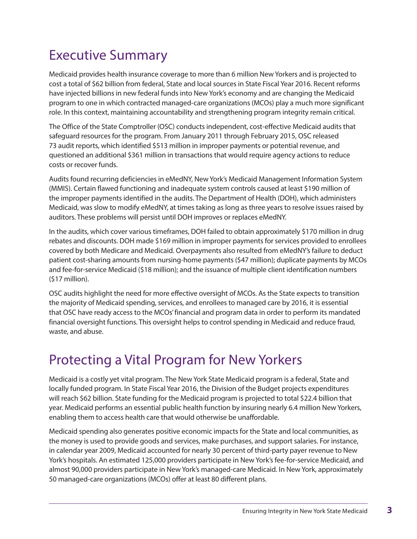# Executive Summary

Medicaid provides health insurance coverage to more than 6 million New Yorkers and is projected to cost a total of \$62 billion from federal, State and local sources in State Fiscal Year 2016. Recent reforms have injected billions in new federal funds into New York's economy and are changing the Medicaid program to one in which contracted managed-care organizations (MCOs) play a much more significant role. In this context, maintaining accountability and strengthening program integrity remain critical.

The Office of the State Comptroller (OSC) conducts independent, cost-effective Medicaid audits that safeguard resources for the program. From January 2011 through February 2015, OSC released 73 audit reports, which identified \$513 million in improper payments or potential revenue, and questioned an additional \$361 million in transactions that would require agency actions to reduce costs or recover funds.

Audits found recurring deficiencies in eMedNY, New York's Medicaid Management Information System (MMIS). Certain flawed functioning and inadequate system controls caused at least \$190 million of the improper payments identified in the audits. The Department of Health (DOH), which administers Medicaid, was slow to modify eMedNY, at times taking as long as three years to resolve issues raised by auditors. These problems will persist until DOH improves or replaces eMedNY.

In the audits, which cover various timeframes, DOH failed to obtain approximately \$170 million in drug rebates and discounts. DOH made \$169 million in improper payments for services provided to enrollees covered by both Medicare and Medicaid. Overpayments also resulted from eMedNY's failure to deduct patient cost-sharing amounts from nursing-home payments (\$47 million); duplicate payments by MCOs and fee-for-service Medicaid (\$18 million); and the issuance of multiple client identification numbers (\$17 million).

OSC audits highlight the need for more effective oversight of MCOs. As the State expects to transition the majority of Medicaid spending, services, and enrollees to managed care by 2016, it is essential that OSC have ready access to the MCOs' financial and program data in order to perform its mandated financial oversight functions. This oversight helps to control spending in Medicaid and reduce fraud, waste, and abuse.

# Protecting a Vital Program for New Yorkers

Medicaid is a costly yet vital program. The New York State Medicaid program is a federal, State and locally funded program. In State Fiscal Year 2016, the Division of the Budget projects expenditures will reach \$62 billion. State funding for the Medicaid program is projected to total \$22.4 billion that year. Medicaid performs an essential public health function by insuring nearly 6.4 million New Yorkers, enabling them to access health care that would otherwise be unaffordable.

Medicaid spending also generates positive economic impacts for the State and local communities, as the money is used to provide goods and services, make purchases, and support salaries. For instance, in calendar year 2009, Medicaid accounted for nearly 30 percent of third-party payer revenue to New York's hospitals. An estimated 125,000 providers participate in New York's fee-for-service Medicaid, and almost 90,000 providers participate in New York's managed-care Medicaid. In New York, approximately 50 managed-care organizations (MCOs) offer at least 80 different plans.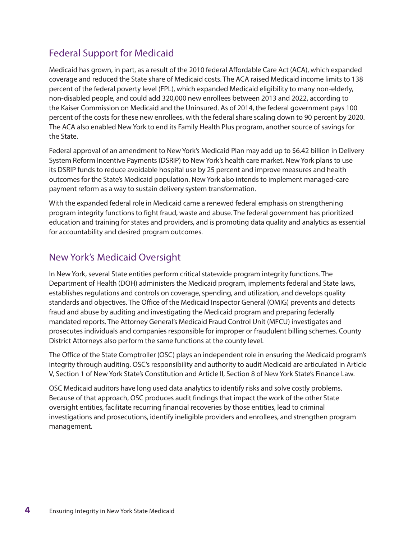### Federal Support for Medicaid

Medicaid has grown, in part, as a result of the 2010 federal Affordable Care Act (ACA), which expanded coverage and reduced the State share of Medicaid costs. The ACA raised Medicaid income limits to 138 percent of the federal poverty level (FPL), which expanded Medicaid eligibility to many non-elderly, non-disabled people, and could add 320,000 new enrollees between 2013 and 2022, according to the Kaiser Commission on Medicaid and the Uninsured. As of 2014, the federal government pays 100 percent of the costs for these new enrollees, with the federal share scaling down to 90 percent by 2020. The ACA also enabled New York to end its Family Health Plus program, another source of savings for the State.

Federal approval of an amendment to New York's Medicaid Plan may add up to \$6.42 billion in Delivery System Reform Incentive Payments (DSRIP) to New York's health care market. New York plans to use its DSRIP funds to reduce avoidable hospital use by 25 percent and improve measures and health outcomes for the State's Medicaid population. New York also intends to implement managed-care payment reform as a way to sustain delivery system transformation.

With the expanded federal role in Medicaid came a renewed federal emphasis on strengthening program integrity functions to fight fraud, waste and abuse. The federal government has prioritized education and training for states and providers, and is promoting data quality and analytics as essential for accountability and desired program outcomes.

#### New York's Medicaid Oversight

In New York, several State entities perform critical statewide program integrity functions. The Department of Health (DOH) administers the Medicaid program, implements federal and State laws, establishes regulations and controls on coverage, spending, and utilization, and develops quality standards and objectives. The Office of the Medicaid Inspector General (OMIG) prevents and detects fraud and abuse by auditing and investigating the Medicaid program and preparing federally mandated reports. The Attorney General's Medicaid Fraud Control Unit (MFCU) investigates and prosecutes individuals and companies responsible for improper or fraudulent billing schemes. County District Attorneys also perform the same functions at the county level.

The Office of the State Comptroller (OSC) plays an independent role in ensuring the Medicaid program's integrity through auditing. OSC's responsibility and authority to audit Medicaid are articulated in Article V, Section 1 of New York State's Constitution and Article II, Section 8 of New York State's Finance Law.

OSC Medicaid auditors have long used data analytics to identify risks and solve costly problems. Because of that approach, OSC produces audit findings that impact the work of the other State oversight entities, facilitate recurring financial recoveries by those entities, lead to criminal investigations and prosecutions, identify ineligible providers and enrollees, and strengthen program management.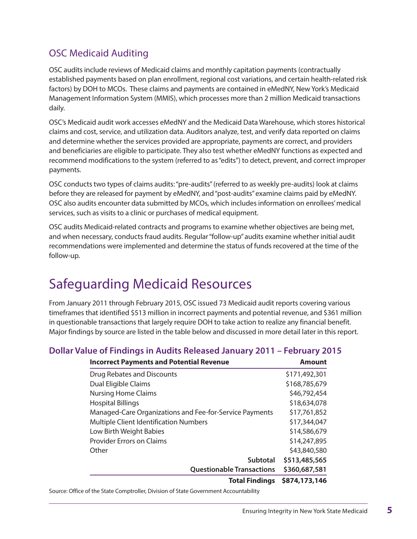### OSC Medicaid Auditing

OSC audits include reviews of Medicaid claims and monthly capitation payments (contractually established payments based on plan enrollment, regional cost variations, and certain health-related risk factors) by DOH to MCOs. These claims and payments are contained in eMedNY, New York's Medicaid Management Information System (MMIS), which processes more than 2 million Medicaid transactions daily.

OSC's Medicaid audit work accesses eMedNY and the Medicaid Data Warehouse, which stores historical claims and cost, service, and utilization data. Auditors analyze, test, and verify data reported on claims and determine whether the services provided are appropriate, payments are correct, and providers and beneficiaries are eligible to participate. They also test whether eMedNY functions as expected and recommend modifications to the system (referred to as "edits") to detect, prevent, and correct improper payments.

OSC conducts two types of claims audits: "pre-audits" (referred to as weekly pre-audits) look at claims before they are released for payment by eMedNY, and "post-audits" examine claims paid by eMedNY. OSC also audits encounter data submitted by MCOs, which includes information on enrollees' medical services, such as visits to a clinic or purchases of medical equipment.

OSC audits Medicaid-related contracts and programs to examine whether objectives are being met, and when necessary, conducts fraud audits. Regular "follow-up" audits examine whether initial audit recommendations were implemented and determine the status of funds recovered at the time of the follow-up.

# Safeguarding Medicaid Resources

From January 2011 through February 2015, OSC issued 73 Medicaid audit reports covering various timeframes that identified \$513 million in incorrect payments and potential revenue, and \$361 million in questionable transactions that largely require DOH to take action to realize any financial benefit. Major findings by source are listed in the table below and discussed in more detail later in this report.

#### **Dollar Value of Findings in Audits Released January 2011 – February 2015**

| <b>Incorrect Payments and Potential Revenue</b>         | <b>Amount</b> |
|---------------------------------------------------------|---------------|
| Drug Rebates and Discounts                              | \$171,492,301 |
| Dual Eligible Claims                                    | \$168,785,679 |
| <b>Nursing Home Claims</b>                              | \$46,792,454  |
| <b>Hospital Billings</b>                                | \$18,634,078  |
| Managed-Care Organizations and Fee-for-Service Payments | \$17,761,852  |
| Multiple Client Identification Numbers                  | \$17,344,047  |
| Low Birth Weight Babies                                 | \$14,586,679  |
| <b>Provider Errors on Claims</b>                        | \$14,247,895  |
| Other                                                   | \$43,840,580  |
| <b>Subtotal</b>                                         | \$513,485,565 |
| <b>Questionable Transactions</b>                        | \$360,687,581 |
| <b>Total Findings</b>                                   | \$874,173,146 |

Source: Office of the State Comptroller, Division of State Government Accountability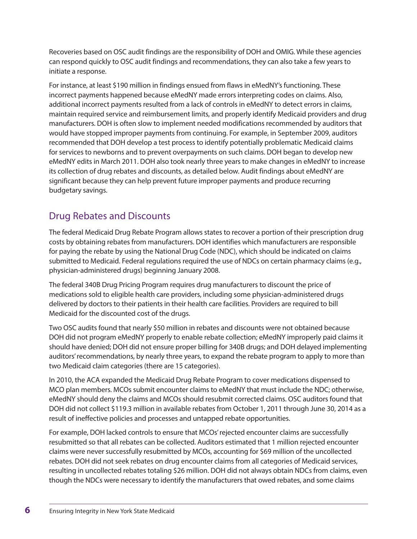Recoveries based on OSC audit findings are the responsibility of DOH and OMIG. While these agencies can respond quickly to OSC audit findings and recommendations, they can also take a few years to initiate a response.

For instance, at least \$190 million in findings ensued from flaws in eMedNY's functioning. These incorrect payments happened because eMedNY made errors interpreting codes on claims. Also, additional incorrect payments resulted from a lack of controls in eMedNY to detect errors in claims, maintain required service and reimbursement limits, and properly identify Medicaid providers and drug manufacturers. DOH is often slow to implement needed modifications recommended by auditors that would have stopped improper payments from continuing. For example, in September 2009, auditors recommended that DOH develop a test process to identify potentially problematic Medicaid claims for services to newborns and to prevent overpayments on such claims. DOH began to develop new eMedNY edits in March 2011. DOH also took nearly three years to make changes in eMedNY to increase its collection of drug rebates and discounts, as detailed below. Audit findings about eMedNY are significant because they can help prevent future improper payments and produce recurring budgetary savings.

### Drug Rebates and Discounts

The federal Medicaid Drug Rebate Program allows states to recover a portion of their prescription drug costs by obtaining rebates from manufacturers. DOH identifies which manufacturers are responsible for paying the rebate by using the National Drug Code (NDC), which should be indicated on claims submitted to Medicaid. Federal regulations required the use of NDCs on certain pharmacy claims (e.g., physician-administered drugs) beginning January 2008.

The federal 340B Drug Pricing Program requires drug manufacturers to discount the price of medications sold to eligible health care providers, including some physician-administered drugs delivered by doctors to their patients in their health care facilities. Providers are required to bill Medicaid for the discounted cost of the drugs.

Two OSC audits found that nearly \$50 million in rebates and discounts were not obtained because DOH did not program eMedNY properly to enable rebate collection; eMedNY improperly paid claims it should have denied; DOH did not ensure proper billing for 340B drugs; and DOH delayed implementing auditors' recommendations, by nearly three years, to expand the rebate program to apply to more than two Medicaid claim categories (there are 15 categories).

In 2010, the ACA expanded the Medicaid Drug Rebate Program to cover medications dispensed to MCO plan members. MCOs submit encounter claims to eMedNY that must include the NDC; otherwise, eMedNY should deny the claims and MCOs should resubmit corrected claims. OSC auditors found that DOH did not collect \$119.3 million in available rebates from October 1, 2011 through June 30, 2014 as a result of ineffective policies and processes and untapped rebate opportunities.

For example, DOH lacked controls to ensure that MCOs' rejected encounter claims are successfully resubmitted so that all rebates can be collected. Auditors estimated that 1 million rejected encounter claims were never successfully resubmitted by MCOs, accounting for \$69 million of the uncollected rebates. DOH did not seek rebates on drug encounter claims from all categories of Medicaid services, resulting in uncollected rebates totaling \$26 million. DOH did not always obtain NDCs from claims, even though the NDCs were necessary to identify the manufacturers that owed rebates, and some claims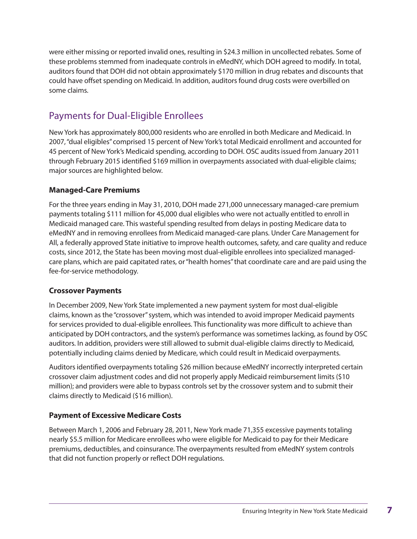were either missing or reported invalid ones, resulting in \$24.3 million in uncollected rebates. Some of these problems stemmed from inadequate controls in eMedNY, which DOH agreed to modify. In total, auditors found that DOH did not obtain approximately \$170 million in drug rebates and discounts that could have offset spending on Medicaid. In addition, auditors found drug costs were overbilled on some claims.

### Payments for Dual-Eligible Enrollees

New York has approximately 800,000 residents who are enrolled in both Medicare and Medicaid. In 2007, "dual eligibles" comprised 15 percent of New York's total Medicaid enrollment and accounted for 45 percent of New York's Medicaid spending, according to DOH. OSC audits issued from January 2011 through February 2015 identified \$169 million in overpayments associated with dual-eligible claims; major sources are highlighted below.

#### **Managed-Care Premiums**

For the three years ending in May 31, 2010, DOH made 271,000 unnecessary managed-care premium payments totaling \$111 million for 45,000 dual eligibles who were not actually entitled to enroll in Medicaid managed care. This wasteful spending resulted from delays in posting Medicare data to eMedNY and in removing enrollees from Medicaid managed-care plans. Under Care Management for All, a federally approved State initiative to improve health outcomes, safety, and care quality and reduce costs, since 2012, the State has been moving most dual-eligible enrollees into specialized managedcare plans, which are paid capitated rates, or "health homes" that coordinate care and are paid using the fee-for-service methodology.

#### **Crossover Payments**

In December 2009, New York State implemented a new payment system for most dual-eligible claims, known as the "crossover" system, which was intended to avoid improper Medicaid payments for services provided to dual-eligible enrollees. This functionality was more difficult to achieve than anticipated by DOH contractors, and the system's performance was sometimes lacking, as found by OSC auditors. In addition, providers were still allowed to submit dual-eligible claims directly to Medicaid, potentially including claims denied by Medicare, which could result in Medicaid overpayments.

Auditors identified overpayments totaling \$26 million because eMedNY incorrectly interpreted certain crossover claim adjustment codes and did not properly apply Medicaid reimbursement limits (\$10 million); and providers were able to bypass controls set by the crossover system and to submit their claims directly to Medicaid (\$16 million).

#### **Payment of Excessive Medicare Costs**

Between March 1, 2006 and February 28, 2011, New York made 71,355 excessive payments totaling nearly \$5.5 million for Medicare enrollees who were eligible for Medicaid to pay for their Medicare premiums, deductibles, and coinsurance. The overpayments resulted from eMedNY system controls that did not function properly or reflect DOH regulations.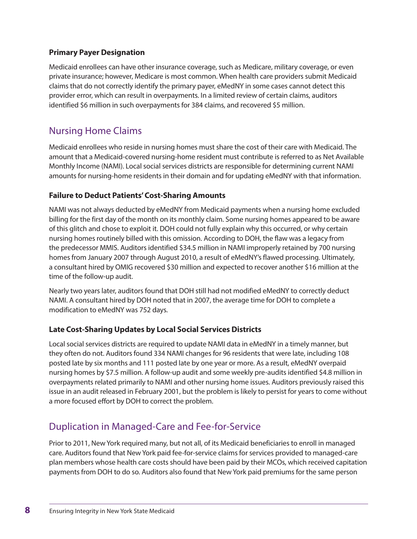#### **Primary Payer Designation**

Medicaid enrollees can have other insurance coverage, such as Medicare, military coverage, or even private insurance; however, Medicare is most common. When health care providers submit Medicaid claims that do not correctly identify the primary payer, eMedNY in some cases cannot detect this provider error, which can result in overpayments. In a limited review of certain claims, auditors identified \$6 million in such overpayments for 384 claims, and recovered \$5 million.

#### Nursing Home Claims

Medicaid enrollees who reside in nursing homes must share the cost of their care with Medicaid. The amount that a Medicaid-covered nursing-home resident must contribute is referred to as Net Available Monthly Income (NAMI). Local social services districts are responsible for determining current NAMI amounts for nursing-home residents in their domain and for updating eMedNY with that information.

#### **Failure to Deduct Patients' Cost-Sharing Amounts**

NAMI was not always deducted by eMedNY from Medicaid payments when a nursing home excluded billing for the first day of the month on its monthly claim. Some nursing homes appeared to be aware of this glitch and chose to exploit it. DOH could not fully explain why this occurred, or why certain nursing homes routinely billed with this omission. According to DOH, the flaw was a legacy from the predecessor MMIS. Auditors identified \$34.5 million in NAMI improperly retained by 700 nursing homes from January 2007 through August 2010, a result of eMedNY's flawed processing. Ultimately, a consultant hired by OMIG recovered \$30 million and expected to recover another \$16 million at the time of the follow-up audit.

Nearly two years later, auditors found that DOH still had not modified eMedNY to correctly deduct NAMI. A consultant hired by DOH noted that in 2007, the average time for DOH to complete a modification to eMedNY was 752 days.

#### **Late Cost-Sharing Updates by Local Social Services Districts**

Local social services districts are required to update NAMI data in eMedNY in a timely manner, but they often do not. Auditors found 334 NAMI changes for 96 residents that were late, including 108 posted late by six months and 111 posted late by one year or more. As a result, eMedNY overpaid nursing homes by \$7.5 million. A follow-up audit and some weekly pre-audits identified \$4.8 million in overpayments related primarily to NAMI and other nursing home issues. Auditors previously raised this issue in an audit released in February 2001, but the problem is likely to persist for years to come without a more focused effort by DOH to correct the problem.

### Duplication in Managed-Care and Fee-for-Service

Prior to 2011, New York required many, but not all, of its Medicaid beneficiaries to enroll in managed care. Auditors found that New York paid fee-for-service claims for services provided to managed-care plan members whose health care costs should have been paid by their MCOs, which received capitation payments from DOH to do so. Auditors also found that New York paid premiums for the same person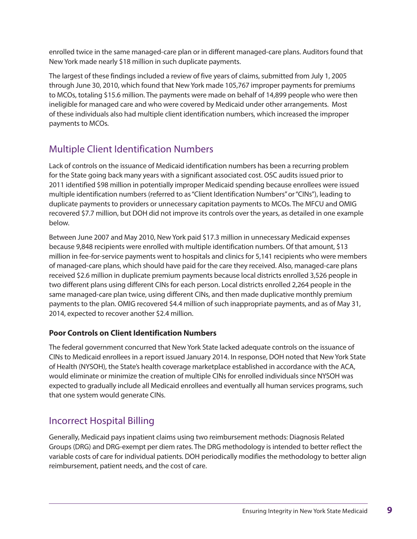enrolled twice in the same managed-care plan or in different managed-care plans. Auditors found that New York made nearly \$18 million in such duplicate payments.

The largest of these findings included a review of five years of claims, submitted from July 1, 2005 through June 30, 2010, which found that New York made 105,767 improper payments for premiums to MCOs, totaling \$15.6 million. The payments were made on behalf of 14,899 people who were then ineligible for managed care and who were covered by Medicaid under other arrangements. Most of these individuals also had multiple client identification numbers, which increased the improper payments to MCOs.

# Multiple Client Identification Numbers

Lack of controls on the issuance of Medicaid identification numbers has been a recurring problem for the State going back many years with a significant associated cost. OSC audits issued prior to 2011 identified \$98 million in potentially improper Medicaid spending because enrollees were issued multiple identification numbers (referred to as "Client Identification Numbers" or "CINs"), leading to duplicate payments to providers or unnecessary capitation payments to MCOs. The MFCU and OMIG recovered \$7.7 million, but DOH did not improve its controls over the years, as detailed in one example below.

Between June 2007 and May 2010, New York paid \$17.3 million in unnecessary Medicaid expenses because 9,848 recipients were enrolled with multiple identification numbers. Of that amount, \$13 million in fee-for-service payments went to hospitals and clinics for 5,141 recipients who were members of managed-care plans, which should have paid for the care they received. Also, managed-care plans received \$2.6 million in duplicate premium payments because local districts enrolled 3,526 people in two different plans using different CINs for each person. Local districts enrolled 2,264 people in the same managed-care plan twice, using different CINs, and then made duplicative monthly premium payments to the plan. OMIG recovered \$4.4 million of such inappropriate payments, and as of May 31, 2014, expected to recover another \$2.4 million.

#### **Poor Controls on Client Identification Numbers**

The federal government concurred that New York State lacked adequate controls on the issuance of CINs to Medicaid enrollees in a report issued January 2014. In response, DOH noted that New York State of Health (NYSOH), the State's health coverage marketplace established in accordance with the ACA, would eliminate or minimize the creation of multiple CINs for enrolled individuals since NYSOH was expected to gradually include all Medicaid enrollees and eventually all human services programs, such that one system would generate CINs.

### Incorrect Hospital Billing

Generally, Medicaid pays inpatient claims using two reimbursement methods: Diagnosis Related Groups (DRG) and DRG-exempt per diem rates. The DRG methodology is intended to better reflect the variable costs of care for individual patients. DOH periodically modifies the methodology to better align reimbursement, patient needs, and the cost of care.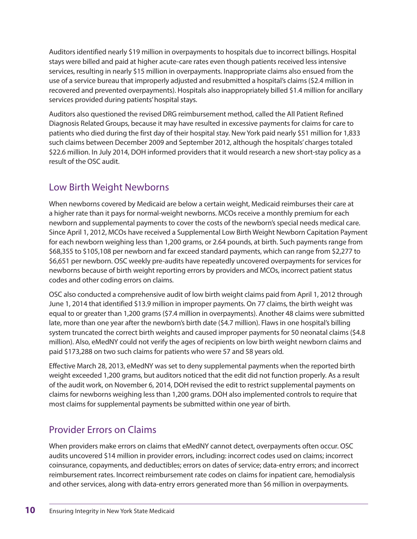Auditors identified nearly \$19 million in overpayments to hospitals due to incorrect billings. Hospital stays were billed and paid at higher acute-care rates even though patients received less intensive services, resulting in nearly \$15 million in overpayments. Inappropriate claims also ensued from the use of a service bureau that improperly adjusted and resubmitted a hospital's claims (\$2.4 million in recovered and prevented overpayments). Hospitals also inappropriately billed \$1.4 million for ancillary services provided during patients' hospital stays.

Auditors also questioned the revised DRG reimbursement method, called the All Patient Refined Diagnosis Related Groups, because it may have resulted in excessive payments for claims for care to patients who died during the first day of their hospital stay. New York paid nearly \$51 million for 1,833 such claims between December 2009 and September 2012, although the hospitals' charges totaled \$22.6 million. In July 2014, DOH informed providers that it would research a new short-stay policy as a result of the OSC audit.

### Low Birth Weight Newborns

When newborns covered by Medicaid are below a certain weight, Medicaid reimburses their care at a higher rate than it pays for normal-weight newborns. MCOs receive a monthly premium for each newborn and supplemental payments to cover the costs of the newborn's special needs medical care. Since April 1, 2012, MCOs have received a Supplemental Low Birth Weight Newborn Capitation Payment for each newborn weighing less than 1,200 grams, or 2.64 pounds, at birth. Such payments range from \$68,355 to \$105,108 per newborn and far exceed standard payments, which can range from \$2,277 to \$6,651 per newborn. OSC weekly pre-audits have repeatedly uncovered overpayments for services for newborns because of birth weight reporting errors by providers and MCOs, incorrect patient status codes and other coding errors on claims.

OSC also conducted a comprehensive audit of low birth weight claims paid from April 1, 2012 through June 1, 2014 that identified \$13.9 million in improper payments. On 77 claims, the birth weight was equal to or greater than 1,200 grams (\$7.4 million in overpayments). Another 48 claims were submitted late, more than one year after the newborn's birth date (\$4.7 million). Flaws in one hospital's billing system truncated the correct birth weights and caused improper payments for 50 neonatal claims (\$4.8 million). Also, eMedNY could not verify the ages of recipients on low birth weight newborn claims and paid \$173,288 on two such claims for patients who were 57 and 58 years old.

Effective March 28, 2013, eMedNY was set to deny supplemental payments when the reported birth weight exceeded 1,200 grams, but auditors noticed that the edit did not function properly. As a result of the audit work, on November 6, 2014, DOH revised the edit to restrict supplemental payments on claims for newborns weighing less than 1,200 grams. DOH also implemented controls to require that most claims for supplemental payments be submitted within one year of birth.

# Provider Errors on Claims

When providers make errors on claims that eMedNY cannot detect, overpayments often occur. OSC audits uncovered \$14 million in provider errors, including: incorrect codes used on claims; incorrect coinsurance, copayments, and deductibles; errors on dates of service; data-entry errors; and incorrect reimbursement rates. Incorrect reimbursement rate codes on claims for inpatient care, hemodialysis and other services, along with data-entry errors generated more than \$6 million in overpayments.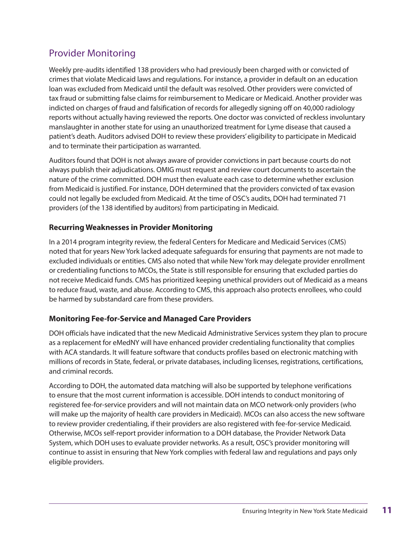### Provider Monitoring

Weekly pre-audits identified 138 providers who had previously been charged with or convicted of crimes that violate Medicaid laws and regulations. For instance, a provider in default on an education loan was excluded from Medicaid until the default was resolved. Other providers were convicted of tax fraud or submitting false claims for reimbursement to Medicare or Medicaid. Another provider was indicted on charges of fraud and falsification of records for allegedly signing off on 40,000 radiology reports without actually having reviewed the reports. One doctor was convicted of reckless involuntary manslaughter in another state for using an unauthorized treatment for Lyme disease that caused a patient's death. Auditors advised DOH to review these providers' eligibility to participate in Medicaid and to terminate their participation as warranted.

Auditors found that DOH is not always aware of provider convictions in part because courts do not always publish their adjudications. OMIG must request and review court documents to ascertain the nature of the crime committed. DOH must then evaluate each case to determine whether exclusion from Medicaid is justified. For instance, DOH determined that the providers convicted of tax evasion could not legally be excluded from Medicaid. At the time of OSC's audits, DOH had terminated 71 providers (of the 138 identified by auditors) from participating in Medicaid.

#### **Recurring Weaknesses in Provider Monitoring**

In a 2014 program integrity review, the federal Centers for Medicare and Medicaid Services (CMS) noted that for years New York lacked adequate safeguards for ensuring that payments are not made to excluded individuals or entities. CMS also noted that while New York may delegate provider enrollment or credentialing functions to MCOs, the State is still responsible for ensuring that excluded parties do not receive Medicaid funds. CMS has prioritized keeping unethical providers out of Medicaid as a means to reduce fraud, waste, and abuse. According to CMS, this approach also protects enrollees, who could be harmed by substandard care from these providers.

#### **Monitoring Fee-for-Service and Managed Care Providers**

DOH officials have indicated that the new Medicaid Administrative Services system they plan to procure as a replacement for eMedNY will have enhanced provider credentialing functionality that complies with ACA standards. It will feature software that conducts profiles based on electronic matching with millions of records in State, federal, or private databases, including licenses, registrations, certifications, and criminal records.

According to DOH, the automated data matching will also be supported by telephone verifications to ensure that the most current information is accessible. DOH intends to conduct monitoring of registered fee-for-service providers and will not maintain data on MCO network-only providers (who will make up the majority of health care providers in Medicaid). MCOs can also access the new software to review provider credentialing, if their providers are also registered with fee-for-service Medicaid. Otherwise, MCOs self-report provider information to a DOH database, the Provider Network Data System, which DOH uses to evaluate provider networks. As a result, OSC's provider monitoring will continue to assist in ensuring that New York complies with federal law and regulations and pays only eligible providers.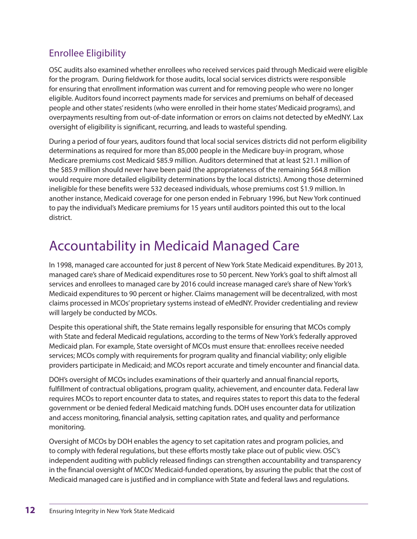# Enrollee Eligibility

OSC audits also examined whether enrollees who received services paid through Medicaid were eligible for the program. During fieldwork for those audits, local social services districts were responsible for ensuring that enrollment information was current and for removing people who were no longer eligible. Auditors found incorrect payments made for services and premiums on behalf of deceased people and other states' residents (who were enrolled in their home states' Medicaid programs), and overpayments resulting from out-of-date information or errors on claims not detected by eMedNY. Lax oversight of eligibility is significant, recurring, and leads to wasteful spending.

During a period of four years, auditors found that local social services districts did not perform eligibility determinations as required for more than 85,000 people in the Medicare buy-in program, whose Medicare premiums cost Medicaid \$85.9 million. Auditors determined that at least \$21.1 million of the \$85.9 million should never have been paid (the appropriateness of the remaining \$64.8 million would require more detailed eligibility determinations by the local districts). Among those determined ineligible for these benefits were 532 deceased individuals, whose premiums cost \$1.9 million. In another instance, Medicaid coverage for one person ended in February 1996, but New York continued to pay the individual's Medicare premiums for 15 years until auditors pointed this out to the local district.

# Accountability in Medicaid Managed Care

In 1998, managed care accounted for just 8 percent of New York State Medicaid expenditures. By 2013, managed care's share of Medicaid expenditures rose to 50 percent. New York's goal to shift almost all services and enrollees to managed care by 2016 could increase managed care's share of New York's Medicaid expenditures to 90 percent or higher. Claims management will be decentralized, with most claims processed in MCOs' proprietary systems instead of eMedNY. Provider credentialing and review will largely be conducted by MCOs.

Despite this operational shift, the State remains legally responsible for ensuring that MCOs comply with State and federal Medicaid regulations, according to the terms of New York's federally approved Medicaid plan. For example, State oversight of MCOs must ensure that: enrollees receive needed services; MCOs comply with requirements for program quality and financial viability; only eligible providers participate in Medicaid; and MCOs report accurate and timely encounter and financial data.

DOH's oversight of MCOs includes examinations of their quarterly and annual financial reports, fulfillment of contractual obligations, program quality, achievement, and encounter data. Federal law requires MCOs to report encounter data to states, and requires states to report this data to the federal government or be denied federal Medicaid matching funds. DOH uses encounter data for utilization and access monitoring, financial analysis, setting capitation rates, and quality and performance monitoring.

Oversight of MCOs by DOH enables the agency to set capitation rates and program policies, and to comply with federal regulations, but these efforts mostly take place out of public view. OSC's independent auditing with publicly released findings can strengthen accountability and transparency in the financial oversight of MCOs' Medicaid-funded operations, by assuring the public that the cost of Medicaid managed care is justified and in compliance with State and federal laws and regulations.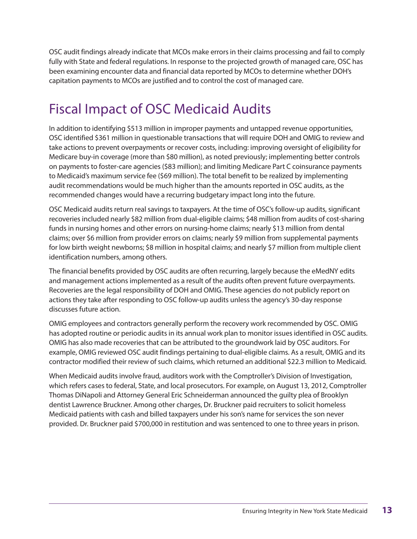OSC audit findings already indicate that MCOs make errors in their claims processing and fail to comply fully with State and federal regulations. In response to the projected growth of managed care, OSC has been examining encounter data and financial data reported by MCOs to determine whether DOH's capitation payments to MCOs are justified and to control the cost of managed care.

# Fiscal Impact of OSC Medicaid Audits

In addition to identifying \$513 million in improper payments and untapped revenue opportunities, OSC identified \$361 million in questionable transactions that will require DOH and OMIG to review and take actions to prevent overpayments or recover costs, including: improving oversight of eligibility for Medicare buy-in coverage (more than \$80 million), as noted previously; implementing better controls on payments to foster-care agencies (\$83 million); and limiting Medicare Part C coinsurance payments to Medicaid's maximum service fee (\$69 million). The total benefit to be realized by implementing audit recommendations would be much higher than the amounts reported in OSC audits, as the recommended changes would have a recurring budgetary impact long into the future.

OSC Medicaid audits return real savings to taxpayers. At the time of OSC's follow-up audits, significant recoveries included nearly \$82 million from dual-eligible claims; \$48 million from audits of cost-sharing funds in nursing homes and other errors on nursing-home claims; nearly \$13 million from dental claims; over \$6 million from provider errors on claims; nearly \$9 million from supplemental payments for low birth weight newborns; \$8 million in hospital claims; and nearly \$7 million from multiple client identification numbers, among others.

The financial benefits provided by OSC audits are often recurring, largely because the eMedNY edits and management actions implemented as a result of the audits often prevent future overpayments. Recoveries are the legal responsibility of DOH and OMIG. These agencies do not publicly report on actions they take after responding to OSC follow-up audits unless the agency's 30-day response discusses future action.

OMIG employees and contractors generally perform the recovery work recommended by OSC. OMIG has adopted routine or periodic audits in its annual work plan to monitor issues identified in OSC audits. OMIG has also made recoveries that can be attributed to the groundwork laid by OSC auditors. For example, OMIG reviewed OSC audit findings pertaining to dual-eligible claims. As a result, OMIG and its contractor modified their review of such claims, which returned an additional \$22.3 million to Medicaid.

When Medicaid audits involve fraud, auditors work with the Comptroller's Division of Investigation, which refers cases to federal, State, and local prosecutors. For example, on August 13, 2012, Comptroller Thomas DiNapoli and Attorney General Eric Schneiderman announced the guilty plea of Brooklyn dentist Lawrence Bruckner. Among other charges, Dr. Bruckner paid recruiters to solicit homeless Medicaid patients with cash and billed taxpayers under his son's name for services the son never provided. Dr. Bruckner paid \$700,000 in restitution and was sentenced to one to three years in prison.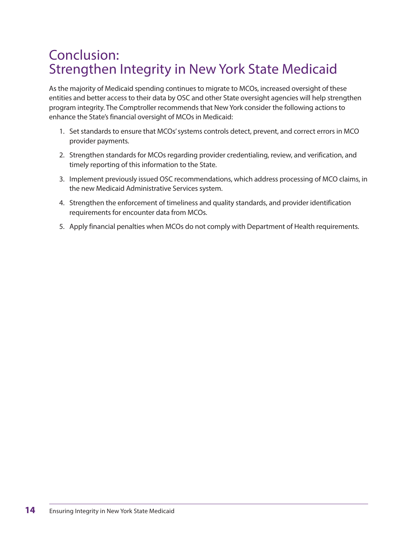# Conclusion: Strengthen Integrity in New York State Medicaid

As the majority of Medicaid spending continues to migrate to MCOs, increased oversight of these entities and better access to their data by OSC and other State oversight agencies will help strengthen program integrity. The Comptroller recommends that New York consider the following actions to enhance the State's financial oversight of MCOs in Medicaid:

- 1. Set standards to ensure that MCOs' systems controls detect, prevent, and correct errors in MCO provider payments.
- 2. Strengthen standards for MCOs regarding provider credentialing, review, and verification, and timely reporting of this information to the State.
- 3. Implement previously issued OSC recommendations, which address processing of MCO claims, in the new Medicaid Administrative Services system.
- 4. Strengthen the enforcement of timeliness and quality standards, and provider identification requirements for encounter data from MCOs.
- 5. Apply financial penalties when MCOs do not comply with Department of Health requirements.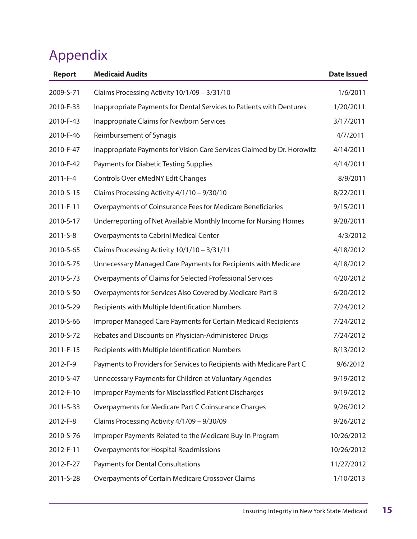# Appendix

| <b>Report</b>  | <b>Medicaid Audits</b>                                                  | <b>Date Issued</b> |
|----------------|-------------------------------------------------------------------------|--------------------|
| 2009-S-71      | Claims Processing Activity 10/1/09 - 3/31/10                            | 1/6/2011           |
| 2010-F-33      | Inappropriate Payments for Dental Services to Patients with Dentures    | 1/20/2011          |
| 2010-F-43      | <b>Inappropriate Claims for Newborn Services</b>                        | 3/17/2011          |
| 2010-F-46      | Reimbursement of Synagis                                                | 4/7/2011           |
| 2010-F-47      | Inappropriate Payments for Vision Care Services Claimed by Dr. Horowitz | 4/14/2011          |
| 2010-F-42      | <b>Payments for Diabetic Testing Supplies</b>                           | 4/14/2011          |
| $2011 - F - 4$ | Controls Over eMedNY Edit Changes                                       | 8/9/2011           |
| 2010-S-15      | Claims Processing Activity 4/1/10 - 9/30/10                             | 8/22/2011          |
| 2011-F-11      | Overpayments of Coinsurance Fees for Medicare Beneficiaries             | 9/15/2011          |
| 2010-S-17      | Underreporting of Net Available Monthly Income for Nursing Homes        | 9/28/2011          |
| 2011-S-8       | Overpayments to Cabrini Medical Center                                  | 4/3/2012           |
| 2010-S-65      | Claims Processing Activity 10/1/10 - 3/31/11                            | 4/18/2012          |
| 2010-S-75      | Unnecessary Managed Care Payments for Recipients with Medicare          | 4/18/2012          |
| 2010-S-73      | Overpayments of Claims for Selected Professional Services               | 4/20/2012          |
| 2010-S-50      | Overpayments for Services Also Covered by Medicare Part B               | 6/20/2012          |
| 2010-S-29      | Recipients with Multiple Identification Numbers                         | 7/24/2012          |
| 2010-S-66      | Improper Managed Care Payments for Certain Medicaid Recipients          | 7/24/2012          |
| 2010-S-72      | Rebates and Discounts on Physician-Administered Drugs                   | 7/24/2012          |
| 2011-F-15      | Recipients with Multiple Identification Numbers                         | 8/13/2012          |
| 2012-F-9       | Payments to Providers for Services to Recipients with Medicare Part C   | 9/6/2012           |
| 2010-S-47      | Unnecessary Payments for Children at Voluntary Agencies                 | 9/19/2012          |
| 2012-F-10      | Improper Payments for Misclassified Patient Discharges                  | 9/19/2012          |
| 2011-S-33      | Overpayments for Medicare Part C Coinsurance Charges                    | 9/26/2012          |
| 2012-F-8       | Claims Processing Activity 4/1/09 - 9/30/09                             | 9/26/2012          |
| 2010-S-76      | Improper Payments Related to the Medicare Buy-In Program                | 10/26/2012         |
| 2012-F-11      | Overpayments for Hospital Readmissions                                  | 10/26/2012         |
| 2012-F-27      | Payments for Dental Consultations                                       | 11/27/2012         |
| 2011-S-28      | Overpayments of Certain Medicare Crossover Claims                       | 1/10/2013          |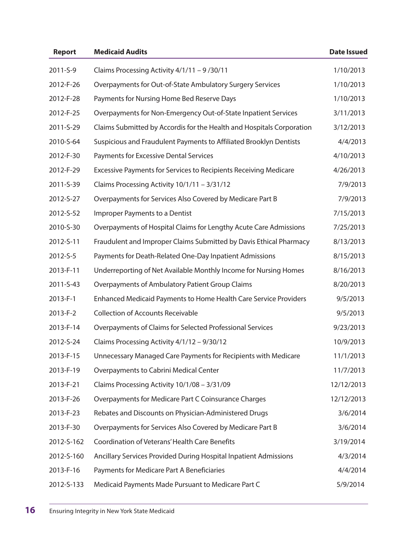| <b>Report</b> | <b>Medicaid Audits</b>                                                | <b>Date Issued</b> |
|---------------|-----------------------------------------------------------------------|--------------------|
| 2011-S-9      | Claims Processing Activity 4/1/11 - 9/30/11                           | 1/10/2013          |
| 2012-F-26     | Overpayments for Out-of-State Ambulatory Surgery Services             | 1/10/2013          |
| 2012-F-28     | Payments for Nursing Home Bed Reserve Days                            | 1/10/2013          |
| 2012-F-25     | Overpayments for Non-Emergency Out-of-State Inpatient Services        | 3/11/2013          |
| 2011-S-29     | Claims Submitted by Accordis for the Health and Hospitals Corporation | 3/12/2013          |
| 2010-S-64     | Suspicious and Fraudulent Payments to Affiliated Brooklyn Dentists    | 4/4/2013           |
| 2012-F-30     | Payments for Excessive Dental Services                                | 4/10/2013          |
| 2012-F-29     | Excessive Payments for Services to Recipients Receiving Medicare      | 4/26/2013          |
| 2011-S-39     | Claims Processing Activity 10/1/11 - 3/31/12                          | 7/9/2013           |
| 2012-S-27     | Overpayments for Services Also Covered by Medicare Part B             | 7/9/2013           |
| 2012-S-52     | Improper Payments to a Dentist                                        | 7/15/2013          |
| 2010-S-30     | Overpayments of Hospital Claims for Lengthy Acute Care Admissions     | 7/25/2013          |
| 2012-S-11     | Fraudulent and Improper Claims Submitted by Davis Ethical Pharmacy    | 8/13/2013          |
| 2012-S-5      | Payments for Death-Related One-Day Inpatient Admissions               | 8/15/2013          |
| 2013-F-11     | Underreporting of Net Available Monthly Income for Nursing Homes      | 8/16/2013          |
| 2011-S-43     | Overpayments of Ambulatory Patient Group Claims                       | 8/20/2013          |
| 2013-F-1      | Enhanced Medicaid Payments to Home Health Care Service Providers      | 9/5/2013           |
| 2013-F-2      | <b>Collection of Accounts Receivable</b>                              | 9/5/2013           |
| 2013-F-14     | Overpayments of Claims for Selected Professional Services             | 9/23/2013          |
| 2012-S-24     | Claims Processing Activity 4/1/12 - 9/30/12                           | 10/9/2013          |
| 2013-F-15     | Unnecessary Managed Care Payments for Recipients with Medicare        | 11/1/2013          |
| 2013-F-19     | Overpayments to Cabrini Medical Center                                | 11/7/2013          |
| 2013-F-21     | Claims Processing Activity 10/1/08 - 3/31/09                          | 12/12/2013         |
| 2013-F-26     | Overpayments for Medicare Part C Coinsurance Charges                  | 12/12/2013         |
| 2013-F-23     | Rebates and Discounts on Physician-Administered Drugs                 | 3/6/2014           |
| 2013-F-30     | Overpayments for Services Also Covered by Medicare Part B             | 3/6/2014           |
| 2012-S-162    | <b>Coordination of Veterans' Health Care Benefits</b>                 | 3/19/2014          |
| 2012-S-160    | Ancillary Services Provided During Hospital Inpatient Admissions      | 4/3/2014           |
| 2013-F-16     | Payments for Medicare Part A Beneficiaries                            | 4/4/2014           |
| 2012-S-133    | Medicaid Payments Made Pursuant to Medicare Part C                    | 5/9/2014           |